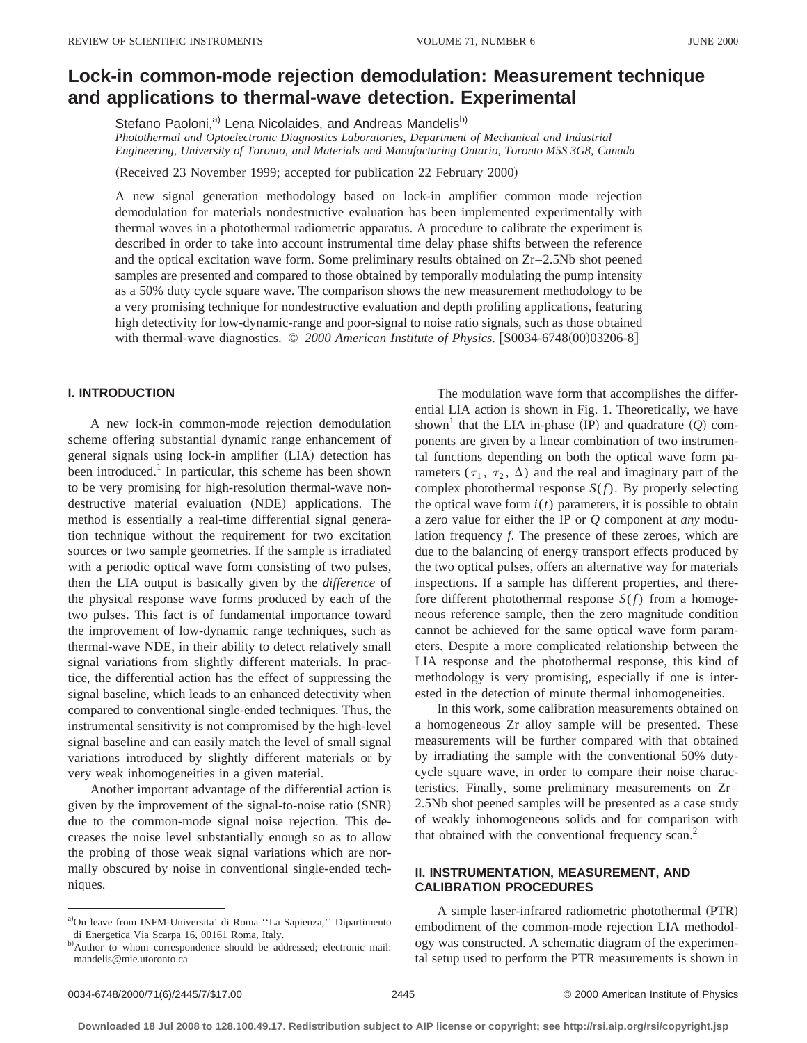# **Lock-in common-mode rejection demodulation: Measurement technique and applications to thermal-wave detection. Experimental**

Stefano Paoloni,<sup>a)</sup> Lena Nicolaides, and Andreas Mandelis<sup>b)</sup>

*Photothermal and Optoelectronic Diagnostics Laboratories, Department of Mechanical and Industrial Engineering, University of Toronto, and Materials and Manufacturing Ontario, Toronto M5S 3G8, Canada*

(Received 23 November 1999; accepted for publication 22 February 2000)

A new signal generation methodology based on lock-in amplifier common mode rejection demodulation for materials nondestructive evaluation has been implemented experimentally with thermal waves in a photothermal radiometric apparatus. A procedure to calibrate the experiment is described in order to take into account instrumental time delay phase shifts between the reference and the optical excitation wave form. Some preliminary results obtained on Zr–2.5Nb shot peened samples are presented and compared to those obtained by temporally modulating the pump intensity as a 50% duty cycle square wave. The comparison shows the new measurement methodology to be a very promising technique for nondestructive evaluation and depth profiling applications, featuring high detectivity for low-dynamic-range and poor-signal to noise ratio signals, such as those obtained with thermal-wave diagnostics. © 2000 American Institute of Physics. [S0034-6748(00)03206-8]

### **I. INTRODUCTION**

A new lock-in common-mode rejection demodulation scheme offering substantial dynamic range enhancement of general signals using lock-in amplifier (LIA) detection has been introduced.<sup>1</sup> In particular, this scheme has been shown to be very promising for high-resolution thermal-wave nondestructive material evaluation (NDE) applications. The method is essentially a real-time differential signal generation technique without the requirement for two excitation sources or two sample geometries. If the sample is irradiated with a periodic optical wave form consisting of two pulses, then the LIA output is basically given by the *difference* of the physical response wave forms produced by each of the two pulses. This fact is of fundamental importance toward the improvement of low-dynamic range techniques, such as thermal-wave NDE, in their ability to detect relatively small signal variations from slightly different materials. In practice, the differential action has the effect of suppressing the signal baseline, which leads to an enhanced detectivity when compared to conventional single-ended techniques. Thus, the instrumental sensitivity is not compromised by the high-level signal baseline and can easily match the level of small signal variations introduced by slightly different materials or by very weak inhomogeneities in a given material.

Another important advantage of the differential action is given by the improvement of the signal-to-noise ratio  $(SNR)$ due to the common-mode signal noise rejection. This decreases the noise level substantially enough so as to allow the probing of those weak signal variations which are normally obscured by noise in conventional single-ended techniques.

The modulation wave form that accomplishes the differential LIA action is shown in Fig. 1. Theoretically, we have shown<sup>1</sup> that the LIA in-phase (IP) and quadrature  $(Q)$  components are given by a linear combination of two instrumental functions depending on both the optical wave form parameters ( $\tau_1$ ,  $\tau_2$ ,  $\Delta$ ) and the real and imaginary part of the complex photothermal response *S*(*f*). By properly selecting the optical wave form  $i(t)$  parameters, it is possible to obtain a zero value for either the IP or *Q* component at *any* modulation frequency *f*. The presence of these zeroes, which are due to the balancing of energy transport effects produced by the two optical pulses, offers an alternative way for materials inspections. If a sample has different properties, and therefore different photothermal response *S*(*f*) from a homogeneous reference sample, then the zero magnitude condition cannot be achieved for the same optical wave form parameters. Despite a more complicated relationship between the LIA response and the photothermal response, this kind of methodology is very promising, especially if one is interested in the detection of minute thermal inhomogeneities.

In this work, some calibration measurements obtained on a homogeneous Zr alloy sample will be presented. These measurements will be further compared with that obtained by irradiating the sample with the conventional 50% dutycycle square wave, in order to compare their noise characteristics. Finally, some preliminary measurements on Zr– 2.5Nb shot peened samples will be presented as a case study of weakly inhomogeneous solids and for comparison with that obtained with the conventional frequency scan.<sup>2</sup>

## **II. INSTRUMENTATION, MEASUREMENT, AND CALIBRATION PROCEDURES**

A simple laser-infrared radiometric photothermal (PTR) embodiment of the common-mode rejection LIA methodology was constructed. A schematic diagram of the experimental setup used to perform the PTR measurements is shown in

a)On leave from INFM-Universita' di Roma "La Sapienza," Dipartimento di Energetica Via Scarpa 16, 00161 Roma, Italy.

b)Author to whom correspondence should be addressed; electronic mail: mandelis@mie.utoronto.ca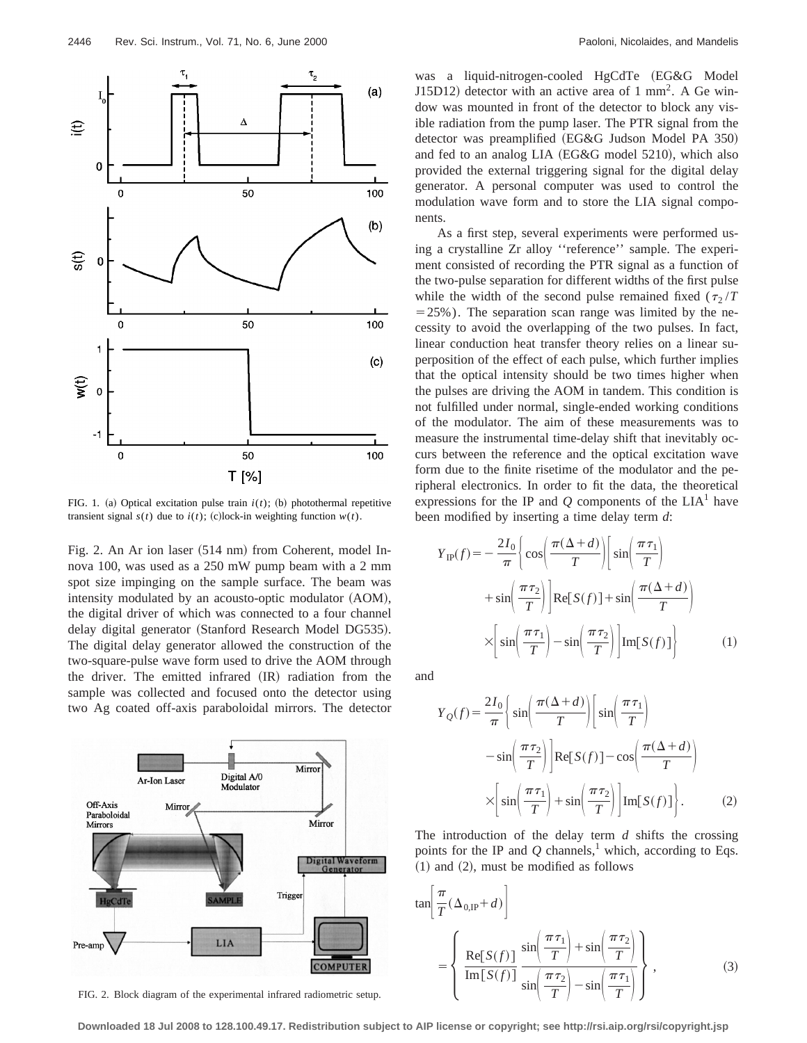

FIG. 1. (a) Optical excitation pulse train  $i(t)$ ; (b) photothermal repetitive transient signal  $s(t)$  due to  $i(t)$ ; (c)lock-in weighting function  $w(t)$ .

Fig. 2. An Ar ion laser (514 nm) from Coherent, model Innova 100, was used as a 250 mW pump beam with a 2 mm spot size impinging on the sample surface. The beam was intensity modulated by an acousto-optic modulator (AOM), the digital driver of which was connected to a four channel delay digital generator (Stanford Research Model DG535). The digital delay generator allowed the construction of the two-square-pulse wave form used to drive the AOM through the driver. The emitted infrared  $(IR)$  radiation from the sample was collected and focused onto the detector using two Ag coated off-axis paraboloidal mirrors. The detector



FIG. 2. Block diagram of the experimental infrared radiometric setup.

was a liquid-nitrogen-cooled HgCdTe (EG&G Model J15D12) detector with an active area of 1 mm<sup>2</sup>. A Ge window was mounted in front of the detector to block any visible radiation from the pump laser. The PTR signal from the detector was preamplified (EG&G Judson Model PA 350) and fed to an analog LIA  $(EG\&G \text{ model } 5210)$ , which also provided the external triggering signal for the digital delay generator. A personal computer was used to control the modulation wave form and to store the LIA signal components.

As a first step, several experiments were performed using a crystalline Zr alloy ''reference'' sample. The experiment consisted of recording the PTR signal as a function of the two-pulse separation for different widths of the first pulse while the width of the second pulse remained fixed  $(\tau_2/T)$  $=$  25%). The separation scan range was limited by the necessity to avoid the overlapping of the two pulses. In fact, linear conduction heat transfer theory relies on a linear superposition of the effect of each pulse, which further implies that the optical intensity should be two times higher when the pulses are driving the AOM in tandem. This condition is not fulfilled under normal, single-ended working conditions of the modulator. The aim of these measurements was to measure the instrumental time-delay shift that inevitably occurs between the reference and the optical excitation wave form due to the finite risetime of the modulator and the peripheral electronics. In order to fit the data, the theoretical expressions for the IP and  $Q$  components of the  $LIA<sup>1</sup>$  have been modified by inserting a time delay term *d*:

$$
Y_{IP}(f) = -\frac{2I_0}{\pi} \left\{ \cos\left(\frac{\pi(\Delta+d)}{T}\right) \left[\sin\left(\frac{\pi\tau_1}{T}\right) + \sin\left(\frac{\pi\tau_2}{T}\right)\right] \text{Re}[S(f)] + \sin\left(\frac{\pi(\Delta+d)}{T}\right) \right\}
$$

$$
\times \left[ \sin\left(\frac{\pi\tau_1}{T}\right) - \sin\left(\frac{\pi\tau_2}{T}\right) \right] \text{Im}[S(f)] \right\} \tag{1}
$$

and

$$
Y_Q(f) = \frac{2I_0}{\pi} \left\{ \sin\left(\frac{\pi(\Delta+d)}{T}\right) \left[\sin\left(\frac{\pi\tau_1}{T}\right) - \sin\left(\frac{\pi\tau_2}{T}\right)\right] \text{Re}[S(f)] - \cos\left(\frac{\pi(\Delta+d)}{T}\right) \right\}
$$

$$
\times \left[ \sin\left(\frac{\pi\tau_1}{T}\right) + \sin\left(\frac{\pi\tau_2}{T}\right) \left[\text{Im}[S(f)] \right]. \tag{2}
$$

The introduction of the delay term *d* shifts the crossing points for the IP and  $Q$  channels,<sup>1</sup> which, according to Eqs.  $(1)$  and  $(2)$ , must be modified as follows

$$
\tan\left(\frac{\pi}{T}(\Delta_{0,\text{IP}}+d)\right)
$$
\n
$$
= \left\{\frac{\text{Re}[S(f)]}{\text{Im}[S(f)]} \frac{\sin\left(\frac{\pi\tau_1}{T}\right) + \sin\left(\frac{\pi\tau_2}{T}\right)}{\sin\left(\frac{\pi\tau_2}{T}\right) - \sin\left(\frac{\pi\tau_1}{T}\right)}\right\},
$$
\n(3)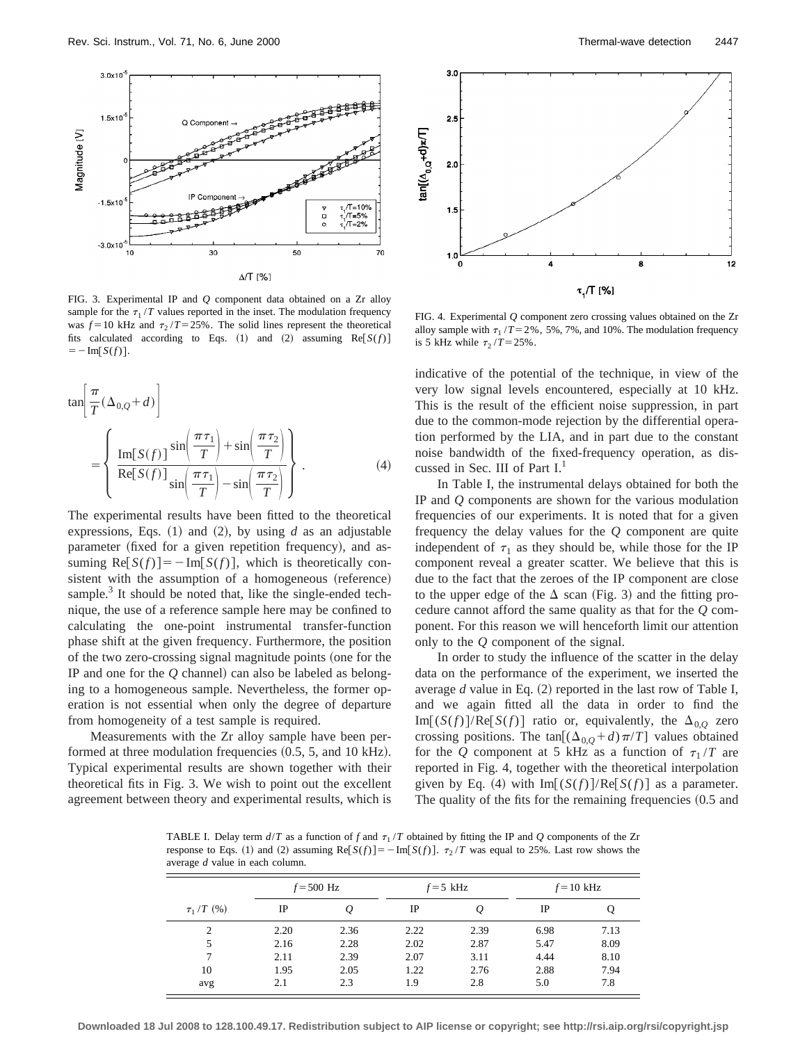

FIG. 3. Experimental IP and *Q* component data obtained on a Zr alloy sample for the  $\tau_1 / T$  values reported in the inset. The modulation frequency was  $f = 10$  kHz and  $\tau_2 / T = 25\%$ . The solid lines represent the theoretical fits calculated according to Eqs.  $(1)$  and  $(2)$  assuming Re $[S(f)]$  $=-\text{Im}[S(f)].$ 

$$
\tan\left[\frac{\pi}{T}(\Delta_{0,Q}+d)\right]
$$
  
= 
$$
\left\{\frac{\text{Im}[S(f)]}{\text{Re}[S(f)]}\frac{\sin\left(\frac{\pi\tau_1}{T}\right)+\sin\left(\frac{\pi\tau_2}{T}\right)}{\sin\left(\frac{\pi\tau_1}{T}\right)-\sin\left(\frac{\pi\tau_2}{T}\right)}\right\}.
$$
 (4)

The experimental results have been fitted to the theoretical expressions, Eqs.  $(1)$  and  $(2)$ , by using *d* as an adjustable parameter (fixed for a given repetition frequency), and assuming  $\text{Re}[S(f)] = -\text{Im}[S(f)],$  which is theoretically consistent with the assumption of a homogeneous (reference) sample. $3$  It should be noted that, like the single-ended technique, the use of a reference sample here may be confined to calculating the one-point instrumental transfer-function phase shift at the given frequency. Furthermore, the position of the two zero-crossing signal magnitude points (one for the IP and one for the  $Q$  channel) can also be labeled as belonging to a homogeneous sample. Nevertheless, the former operation is not essential when only the degree of departure from homogeneity of a test sample is required.

Measurements with the Zr alloy sample have been performed at three modulation frequencies  $(0.5, 5,$  and 10 kHz). Typical experimental results are shown together with their theoretical fits in Fig. 3. We wish to point out the excellent agreement between theory and experimental results, which is



FIG. 4. Experimental *Q* component zero crossing values obtained on the Zr alloy sample with  $\tau_1 / T = 2\%$ , 5%, 7%, and 10%. The modulation frequency is 5 kHz while  $\tau_2 / T = 25\%$ .

indicative of the potential of the technique, in view of the very low signal levels encountered, especially at 10 kHz. This is the result of the efficient noise suppression, in part due to the common-mode rejection by the differential operation performed by the LIA, and in part due to the constant noise bandwidth of the fixed-frequency operation, as discussed in Sec. III of Part I.<sup>1</sup>

In Table I, the instrumental delays obtained for both the IP and *Q* components are shown for the various modulation frequencies of our experiments. It is noted that for a given frequency the delay values for the *Q* component are quite independent of  $\tau_1$  as they should be, while those for the IP component reveal a greater scatter. We believe that this is due to the fact that the zeroes of the IP component are close to the upper edge of the  $\Delta$  scan (Fig. 3) and the fitting procedure cannot afford the same quality as that for the *Q* component. For this reason we will henceforth limit our attention only to the *Q* component of the signal.

In order to study the influence of the scatter in the delay data on the performance of the experiment, we inserted the average  $d$  value in Eq.  $(2)$  reported in the last row of Table I, and we again fitted all the data in order to find the  $Im[(S(f)]/Re[S(f)]$  ratio or, equivalently, the  $\Delta_{0,0}$  zero crossing positions. The tan $[(\Delta_{0,Q} + d)\pi/T]$  values obtained for the *Q* component at 5 kHz as a function of  $\tau_1/T$  are reported in Fig. 4, together with the theoretical interpolation given by Eq. (4) with  $Im[(S(f)]/Re[S(f)]$  as a parameter. The quality of the fits for the remaining frequencies  $(0.5 \text{ and } 0.5)$ 

TABLE I. Delay term  $d/T$  as a function of f and  $\tau_1/T$  obtained by fitting the IP and Q components of the Zr response to Eqs. (1) and (2) assuming Re $[S(f)] = -\text{Im}[S(f)]$ .  $\tau_2/T$  was equal to 25%. Last row shows the average *d* value in each column.

|                | $f = 500$ Hz |      | $f=5$ kHz |      | $f = 10$ kHz |      |
|----------------|--------------|------|-----------|------|--------------|------|
| $\tau_1/T(96)$ | IP           | Q    | IP        |      | IP           |      |
| 2              | 2.20         | 2.36 | 2.22      | 2.39 | 6.98         | 7.13 |
|                | 2.16         | 2.28 | 2.02      | 2.87 | 5.47         | 8.09 |
|                | 2.11         | 2.39 | 2.07      | 3.11 | 4.44         | 8.10 |
| 10             | 1.95         | 2.05 | 1.22      | 2.76 | 2.88         | 7.94 |
| avg            | 2.1          | 2.3  | 1.9       | 2.8  | 5.0          | 7.8  |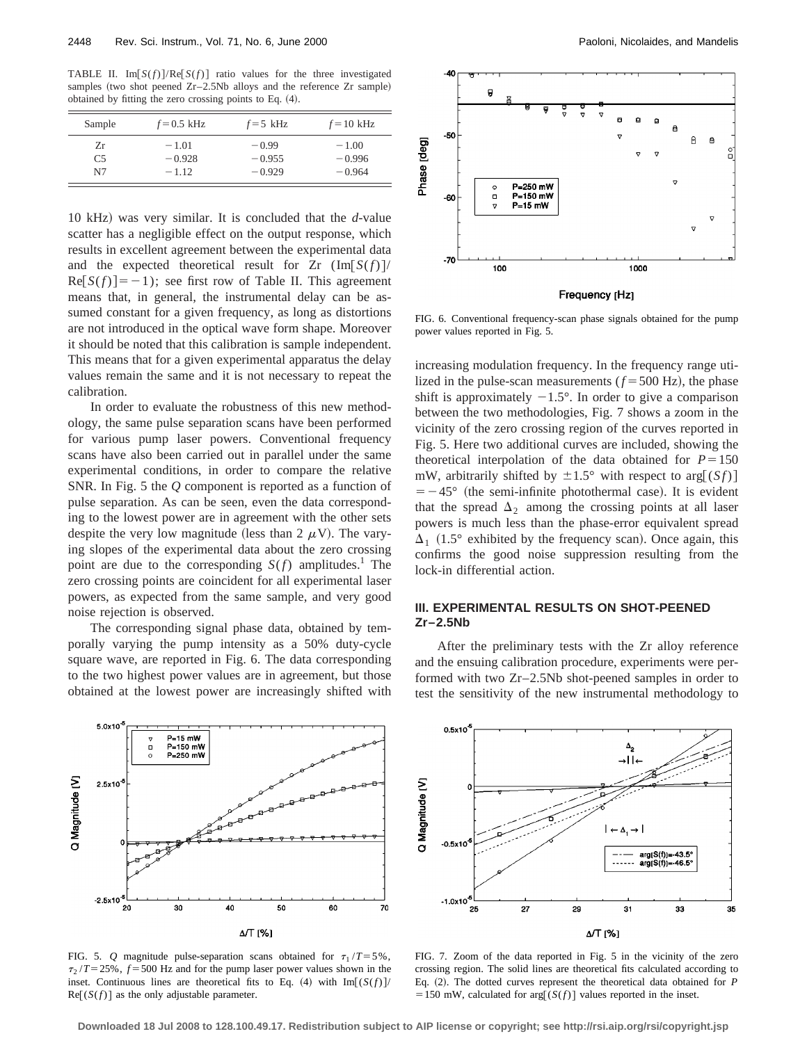TABLE II. Im $[S(f)]/Re[S(f)]$  ratio values for the three investigated samples (two shot peened Zr–2.5Nb alloys and the reference Zr sample) obtained by fitting the zero crossing points to Eq.  $(4)$ .

| Sample         | $f=0.5$ kHz | $f=5$ kHz | $f = 10$ kHz |
|----------------|-------------|-----------|--------------|
| Zr             | $-1.01$     | $-0.99$   | $-1.00$      |
| C <sub>5</sub> | $-0.928$    | $-0.955$  | $-0.996$     |
| N7             | $-1.12$     | $-0.929$  | $-0.964$     |

10 kHz! was very similar. It is concluded that the *d*-value scatter has a negligible effect on the output response, which results in excellent agreement between the experimental data and the expected theoretical result for  $Zr \left(\text{Im}[S(f)]\right)$  $\text{Re}[S(f)]=-1$ ; see first row of Table II. This agreement means that, in general, the instrumental delay can be assumed constant for a given frequency, as long as distortions are not introduced in the optical wave form shape. Moreover it should be noted that this calibration is sample independent. This means that for a given experimental apparatus the delay values remain the same and it is not necessary to repeat the calibration.

In order to evaluate the robustness of this new methodology, the same pulse separation scans have been performed for various pump laser powers. Conventional frequency scans have also been carried out in parallel under the same experimental conditions, in order to compare the relative SNR. In Fig. 5 the *Q* component is reported as a function of pulse separation. As can be seen, even the data corresponding to the lowest power are in agreement with the other sets despite the very low magnitude (less than 2  $\mu$ V). The varying slopes of the experimental data about the zero crossing point are due to the corresponding  $S(f)$  amplitudes.<sup>1</sup> The zero crossing points are coincident for all experimental laser powers, as expected from the same sample, and very good noise rejection is observed.

The corresponding signal phase data, obtained by temporally varying the pump intensity as a 50% duty-cycle square wave, are reported in Fig. 6. The data corresponding to the two highest power values are in agreement, but those obtained at the lowest power are increasingly shifted with



Frequency [Hz]

FIG. 6. Conventional frequency-scan phase signals obtained for the pump power values reported in Fig. 5.

increasing modulation frequency. In the frequency range utilized in the pulse-scan measurements  $(f = 500 \text{ Hz})$ , the phase shift is approximately  $-1.5^{\circ}$ . In order to give a comparison between the two methodologies, Fig. 7 shows a zoom in the vicinity of the zero crossing region of the curves reported in Fig. 5. Here two additional curves are included, showing the theoretical interpolation of the data obtained for  $P=150$ mW, arbitrarily shifted by  $\pm 1.5^\circ$  with respect to arg[(*Sf*)]  $=$  -45 $\degree$  (the semi-infinite photothermal case). It is evident that the spread  $\Delta_2$  among the crossing points at all laser powers is much less than the phase-error equivalent spread  $\Delta_1$  (1.5° exhibited by the frequency scan). Once again, this confirms the good noise suppression resulting from the lock-in differential action.

## **III. EXPERIMENTAL RESULTS ON SHOT-PEENED Zr–2.5Nb**

After the preliminary tests with the Zr alloy reference and the ensuing calibration procedure, experiments were performed with two Zr–2.5Nb shot-peened samples in order to test the sensitivity of the new instrumental methodology to



FIG. 5. *Q* magnitude pulse-separation scans obtained for  $\tau_1 / T = 5\%$ ,  $\tau_2$  /*T* = 25%, *f* = 500 Hz and for the pump laser power values shown in the inset. Continuous lines are theoretical fits to Eq. (4) with  $Im[(S(f)]$  $\text{Re}[(S(f)]$  as the only adjustable parameter.



FIG. 7. Zoom of the data reported in Fig. 5 in the vicinity of the zero crossing region. The solid lines are theoretical fits calculated according to Eq. (2). The dotted curves represent the theoretical data obtained for *P*  $=150$  mW, calculated for arg[ $(S(f))$ ] values reported in the inset.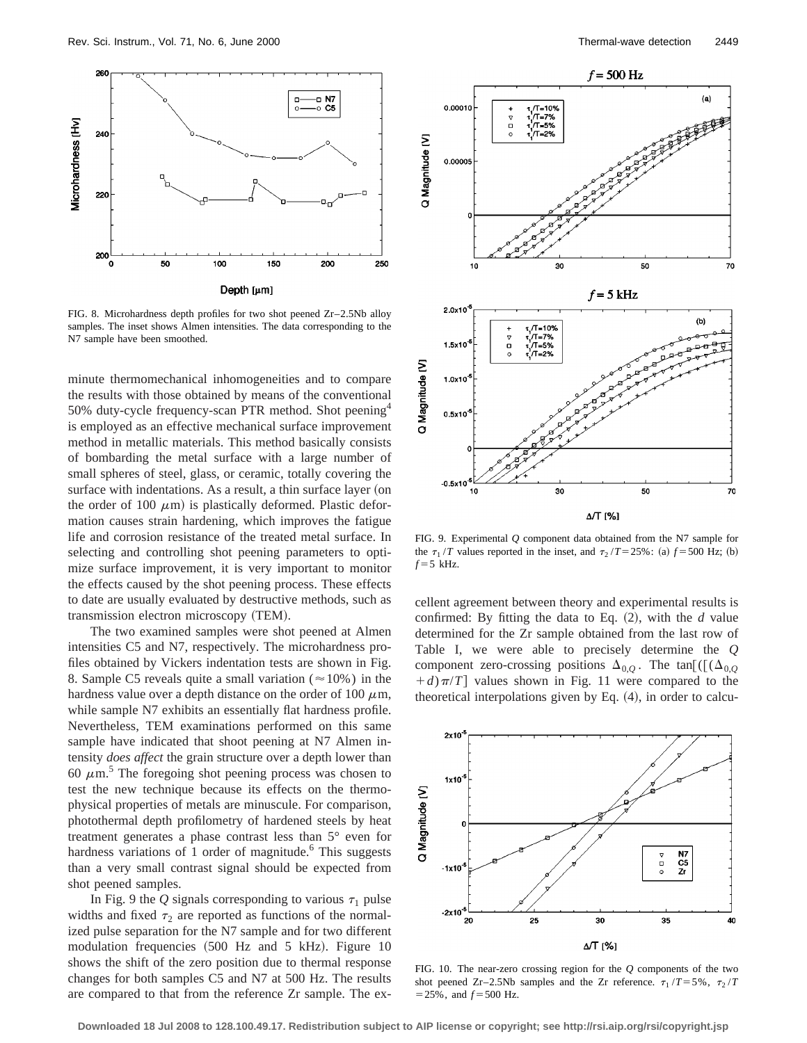

FIG. 8. Microhardness depth profiles for two shot peened  $Zr-2.5Nb$  alloy samples. The inset shows Almen intensities. The data corresponding to the N7 sample have been smoothed.

minute thermomechanical inhomogeneities and to compare the results with those obtained by means of the conventional 50% duty-cycle frequency-scan PTR method. Shot peening<sup>4</sup> is employed as an effective mechanical surface improvement method in metallic materials. This method basically consists of bombarding the metal surface with a large number of small spheres of steel, glass, or ceramic, totally covering the surface with indentations. As a result, a thin surface layer (on the order of 100  $\mu$ m) is plastically deformed. Plastic deformation causes strain hardening, which improves the fatigue life and corrosion resistance of the treated metal surface. In selecting and controlling shot peening parameters to optimize surface improvement, it is very important to monitor the effects caused by the shot peening process. These effects to date are usually evaluated by destructive methods, such as transmission electron microscopy (TEM).

The two examined samples were shot peened at Almen intensities C5 and N7, respectively. The microhardness profiles obtained by Vickers indentation tests are shown in Fig. 8. Sample C5 reveals quite a small variation ( $\approx$  10%) in the hardness value over a depth distance on the order of 100  $\mu$ m, while sample N7 exhibits an essentially flat hardness profile. Nevertheless, TEM examinations performed on this same sample have indicated that shoot peening at N7 Almen intensity *does affect* the grain structure over a depth lower than 60  $\mu$ m.<sup>5</sup> The foregoing shot peening process was chosen to test the new technique because its effects on the thermophysical properties of metals are minuscule. For comparison, photothermal depth profilometry of hardened steels by heat treatment generates a phase contrast less than 5° even for hardness variations of 1 order of magnitude. $6$  This suggests than a very small contrast signal should be expected from shot peened samples.

In Fig. 9 the *Q* signals corresponding to various  $\tau_1$  pulse widths and fixed  $\tau_2$  are reported as functions of the normalized pulse separation for the N7 sample and for two different modulation frequencies  $(500$  Hz and 5 kHz). Figure 10 shows the shift of the zero position due to thermal response changes for both samples C5 and N7 at 500 Hz. The results are compared to that from the reference Zr sample. The ex-



FIG. 9. Experimental *Q* component data obtained from the N7 sample for the  $\tau_1/T$  values reported in the inset, and  $\tau_2/T = 25\%$ : (a)  $f = 500$  Hz; (b)  $f = 5$  kHz.

cellent agreement between theory and experimental results is confirmed: By fitting the data to Eq.  $(2)$ , with the *d* value determined for the Zr sample obtained from the last row of Table I, we were able to precisely determine the *Q* component zero-crossing positions  $\Delta_{0,O}$ . The tan[([ $(\Delta_{0,O}$  $(d + d)\pi/T$  values shown in Fig. 11 were compared to the theoretical interpolations given by Eq.  $(4)$ , in order to calcu-



FIG. 10. The near-zero crossing region for the *Q* components of the two shot peened Zr–2.5Nb samples and the Zr reference.  $\tau_1 / T = 5\%$ ,  $\tau_2 / T$  $=$  25%, and  $f = 500$  Hz.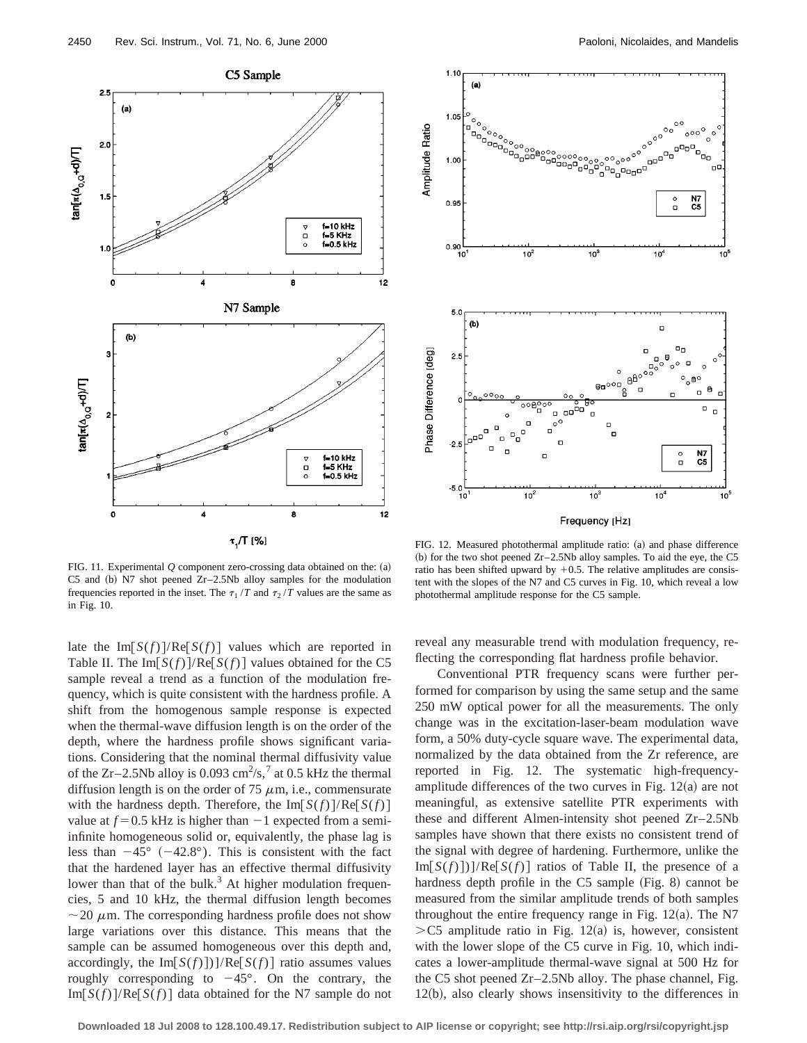

FIG. 11. Experimental  $Q$  component zero-crossing data obtained on the:  $(a)$ C5 and (b) N7 shot peened  $Zr-2.5Nb$  alloy samples for the modulation frequencies reported in the inset. The  $\tau_1 / T$  and  $\tau_2 / T$  values are the same as in Fig. 10.

late the  $Im[S(f)]/Re[S(f)]$  values which are reported in Table II. The Im $\lceil S(f) \rceil / \text{Re} \lceil S(f) \rceil$  values obtained for the C5 sample reveal a trend as a function of the modulation frequency, which is quite consistent with the hardness profile. A shift from the homogenous sample response is expected when the thermal-wave diffusion length is on the order of the depth, where the hardness profile shows significant variations. Considering that the nominal thermal diffusivity value of the Zr-2.5Nb alloy is 0.093 cm<sup>2</sup>/s,<sup>7</sup> at 0.5 kHz the thermal diffusion length is on the order of 75  $\mu$ m, i.e., commensurate with the hardness depth. Therefore, the  $\text{Im}[S(f)]/\text{Re}[S(f)]$ value at  $f = 0.5$  kHz is higher than  $-1$  expected from a semiinfinite homogeneous solid or, equivalently, the phase lag is less than  $-45^{\circ}$  ( $-42.8^{\circ}$ ). This is consistent with the fact that the hardened layer has an effective thermal diffusivity lower than that of the bulk. $3$  At higher modulation frequencies, 5 and 10 kHz, the thermal diffusion length becomes  $\sim$  20  $\mu$ m. The corresponding hardness profile does not show large variations over this distance. This means that the sample can be assumed homogeneous over this depth and, accordingly, the Im $[S(f)]/Re[S(f)]$  ratio assumes values roughly corresponding to  $-45^{\circ}$ . On the contrary, the  $Im[S(f)]/Re[S(f)]$  data obtained for the N7 sample do not



FIG. 12. Measured photothermal amplitude ratio: (a) and phase difference (b) for the two shot peened  $Zr-2.5Nb$  alloy samples. To aid the eye, the C5 ratio has been shifted upward by  $+0.5$ . The relative amplitudes are consistent with the slopes of the N7 and C5 curves in Fig. 10, which reveal a low photothermal amplitude response for the C5 sample.

reveal any measurable trend with modulation frequency, reflecting the corresponding flat hardness profile behavior.

Conventional PTR frequency scans were further performed for comparison by using the same setup and the same 250 mW optical power for all the measurements. The only change was in the excitation-laser-beam modulation wave form, a 50% duty-cycle square wave. The experimental data, normalized by the data obtained from the Zr reference, are reported in Fig. 12. The systematic high-frequencyamplitude differences of the two curves in Fig.  $12(a)$  are not meaningful, as extensive satellite PTR experiments with these and different Almen-intensity shot peened Zr–2.5Nb samples have shown that there exists no consistent trend of the signal with degree of hardening. Furthermore, unlike the  $Im[S(f)])/Re[S(f)]$  ratios of Table II, the presence of a hardness depth profile in the  $C5$  sample (Fig. 8) cannot be measured from the similar amplitude trends of both samples throughout the entire frequency range in Fig.  $12(a)$ . The N7  $>$ C5 amplitude ratio in Fig. 12(a) is, however, consistent with the lower slope of the C5 curve in Fig. 10, which indicates a lower-amplitude thermal-wave signal at 500 Hz for the C5 shot peened Zr–2.5Nb alloy. The phase channel, Fig.  $12(b)$ , also clearly shows insensitivity to the differences in